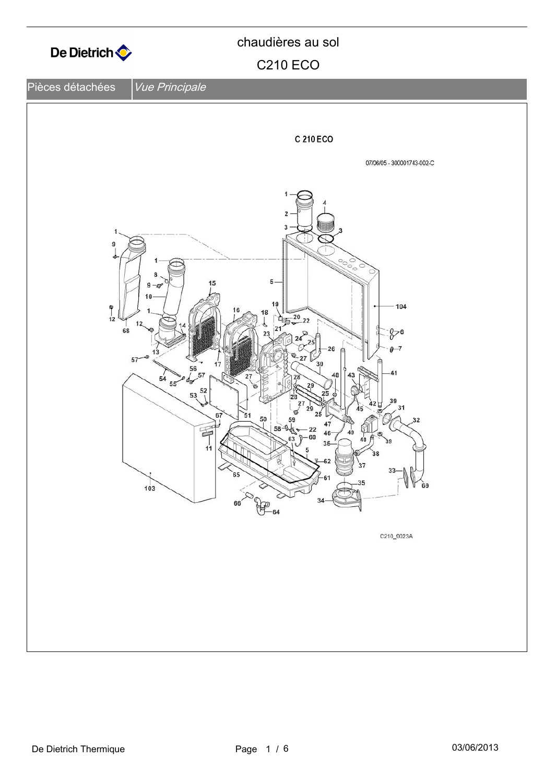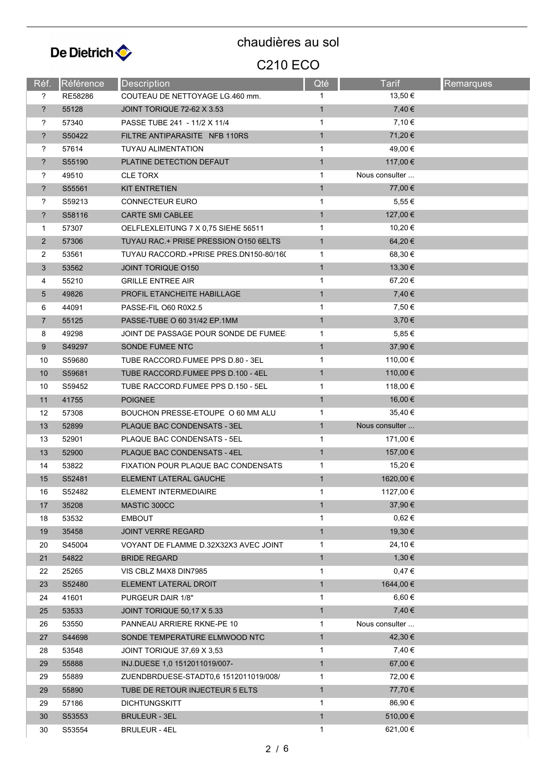

| Réf.           | Référence | Description                             | Qté          | <b>Tarif</b>   | <b>Remarques</b> |
|----------------|-----------|-----------------------------------------|--------------|----------------|------------------|
| ?              | RE58286   | COUTEAU DE NETTOYAGE LG.460 mm.         | 1            | 13,50 €        |                  |
| $\ddot{?}$     | 55128     | JOINT TORIQUE 72-62 X 3.53              | $\mathbf{1}$ | 7,40 €         |                  |
| ?              | 57340     | PASSE TUBE 241 - 11/2 X 11/4            | $\mathbf{1}$ | 7,10 €         |                  |
| $\overline{?}$ | S50422    | FILTRE ANTIPARASITE NFB 110RS           | $\mathbf{1}$ | 71,20 €        |                  |
| ?              | 57614     | <b>TUYAU ALIMENTATION</b>               | $\mathbf{1}$ | 49,00 €        |                  |
| $\overline{?}$ | S55190    | PLATINE DETECTION DEFAUT                | $\mathbf{1}$ | 117,00 €       |                  |
| ?              | 49510     | <b>CLE TORX</b>                         | 1            | Nous consulter |                  |
| $\overline{?}$ | S55561    | <b>KIT ENTRETIEN</b>                    | $\mathbf{1}$ | 77,00 €        |                  |
| ?              | S59213    | <b>CONNECTEUR EURO</b>                  | $\mathbf{1}$ | 5,55 €         |                  |
| ?              | S58116    | <b>CARTE SMI CABLEE</b>                 | $\mathbf{1}$ | 127,00 €       |                  |
| 1              | 57307     | OELFLEXLEITUNG 7 X 0.75 SIEHE 56511     | $\mathbf{1}$ | 10,20 €        |                  |
| $\overline{2}$ | 57306     | TUYAU RAC.+ PRISE PRESSION 0150 6ELTS   | $\mathbf{1}$ | 64,20€         |                  |
| $\overline{2}$ | 53561     | TUYAU RACCORD + PRISE PRES DN150-80/160 | $\mathbf{1}$ | 68,30 €        |                  |
| 3              | 53562     | <b>JOINT TORIQUE 0150</b>               | $\mathbf{1}$ | 13,30 €        |                  |
| 4              | 55210     | <b>GRILLE ENTREE AIR</b>                | 1            | 67,20€         |                  |
| 5              | 49826     | PROFIL ETANCHEITE HABILLAGE             | $\mathbf{1}$ | 7,40 €         |                  |
| 6              | 44091     | PASSE-FIL O60 R0X2.5                    | $\mathbf{1}$ | 7,50 €         |                  |
| $\overline{7}$ | 55125     | PASSE-TUBE O 60 31/42 EP.1MM            | $\mathbf{1}$ | $3,70 \in$     |                  |
| 8              | 49298     | JOINT DE PASSAGE POUR SONDE DE FUMEE    | 1            | 5,85€          |                  |
| 9              | S49297    | SONDE FUMEE NTC                         | $\mathbf{1}$ | 37,90 €        |                  |
| 10             | S59680    | TUBE RACCORD FUMEE PPS D.80 - 3EL       | 1            | 110,00 €       |                  |
| 10             | S59681    | TUBE RACCORD.FUMEE PPS D.100 - 4EL      | $\mathbf{1}$ | 110,00 €       |                  |
| 10             | S59452    | TUBE RACCORD FUMEE PPS D.150 - 5EL      | $\mathbf{1}$ | 118,00 €       |                  |
| 11             | 41755     | <b>POIGNEE</b>                          | $\mathbf{1}$ | 16,00 €        |                  |
| 12             | 57308     | BOUCHON PRESSE-ETOUPE O 60 MM ALU       | $\mathbf{1}$ | 35,40 €        |                  |
| 13             | 52899     | PLAQUE BAC CONDENSATS - 3EL             | $\mathbf{1}$ | Nous consulter |                  |
| 13             | 52901     | PLAQUE BAC CONDENSATS - 5EL             | $\mathbf{1}$ | 171,00 €       |                  |
| 13             | 52900     | PLAQUE BAC CONDENSATS - 4EL             | $\mathbf{1}$ | 157,00 €       |                  |
| 14             | 53822     | FIXATION POUR PLAQUE BAC CONDENSATS     | $\mathbf{1}$ | 15,20 €        |                  |
| 15             | S52481    | ELEMENT LATERAL GAUCHE                  | $\mathbf{1}$ | 1620,00 €      |                  |
| 16             | S52482    | ELEMENT INTERMEDIAIRE                   | 1            | 1127,00 €      |                  |
| 17             | 35208     | MASTIC 300CC                            | $\mathbf{1}$ | 37,90 €        |                  |
| 18             | 53532     | <b>EMBOUT</b>                           | 1            | $0,62 \in$     |                  |
| 19             | 35458     | <b>JOINT VERRE REGARD</b>               | $\mathbf{1}$ | 19,30 €        |                  |
| 20             | S45004    | VOYANT DE FLAMME D.32X32X3 AVEC JOINT   | 1            | 24,10 €        |                  |
| 21             | 54822     | <b>BRIDE REGARD</b>                     | $\mathbf{1}$ | 1,30€          |                  |
| 22             | 25265     | VIS CBLZ M4X8 DIN7985                   | 1            | 0,47€          |                  |
| 23             | S52480    | ELEMENT LATERAL DROIT                   | $\mathbf{1}$ | 1644,00 €      |                  |
| 24             | 41601     | PURGEUR DAIR 1/8"                       | 1            | $6,60 \in$     |                  |
| 25             | 53533     | JOINT TORIQUE 50,17 X 5.33              | $\mathbf{1}$ | 7,40€          |                  |
| 26             | 53550     | PANNEAU ARRIERE RKNE-PE 10              | 1            | Nous consulter |                  |
| 27             | S44698    | SONDE TEMPERATURE ELMWOOD NTC           | $\mathbf{1}$ | 42,30 €        |                  |
| 28             | 53548     | JOINT TORIQUE 37,69 X 3,53              | 1            | 7,40 €         |                  |
| 29             | 55888     | INJ.DUESE 1,0 1512011019/007-           | $\mathbf{1}$ | 67,00 €        |                  |
| 29             | 55889     | ZUENDBRDUESE-STADT0,6 1512011019/008/   | 1            | 72,00 €        |                  |
| 29             | 55890     | TUBE DE RETOUR INJECTEUR 5 ELTS         | $\mathbf{1}$ | 77,70 €        |                  |
| 29             | 57186     | <b>DICHTUNGSKITT</b>                    | 1            | 86,90 €        |                  |
| 30             | S53553    | <b>BRULEUR - 3EL</b>                    | $\mathbf{1}$ | 510,00 €       |                  |
| 30             | S53554    | BRULEUR - 4EL                           | $\mathbf{1}$ | 621,00€        |                  |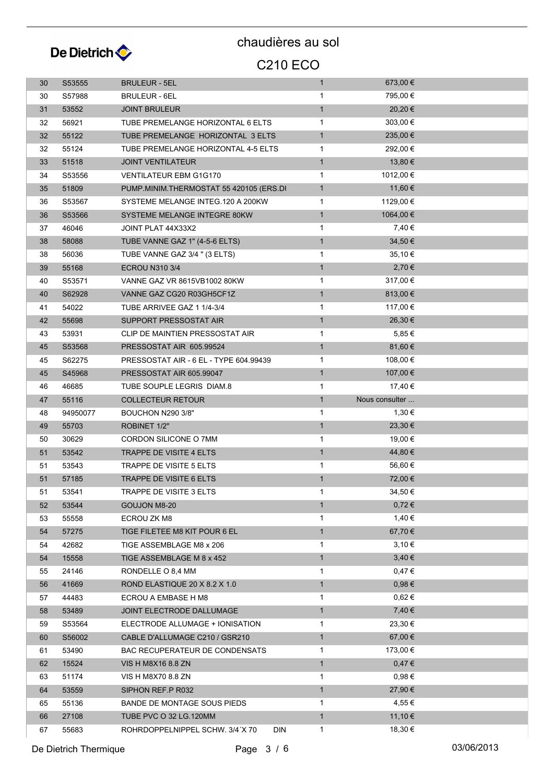

| 30 | S53555   | <b>BRULEUR - 5EL</b>                    | $\mathbf{1}$ | 673,00 €       |  |
|----|----------|-----------------------------------------|--------------|----------------|--|
| 30 | S57988   | <b>BRULEUR - 6EL</b>                    | $\mathbf{1}$ | 795,00 €       |  |
| 31 | 53552    | <b>JOINT BRULEUR</b>                    | $\mathbf{1}$ | 20,20€         |  |
| 32 | 56921    | TUBE PREMELANGE HORIZONTAL 6 ELTS       | $\mathbf{1}$ | 303,00 €       |  |
| 32 | 55122    | TUBE PREMELANGE HORIZONTAL 3 ELTS       | $\mathbf{1}$ | 235,00 €       |  |
| 32 | 55124    | TUBE PREMELANGE HORIZONTAL 4-5 ELTS     | $\mathbf{1}$ | 292,00 €       |  |
| 33 | 51518    | <b>JOINT VENTILATEUR</b>                | 1            | 13,80 €        |  |
| 34 | S53556   | <b>VENTILATEUR EBM G1G170</b>           | $\mathbf{1}$ | 1012,00 €      |  |
| 35 | 51809    | PUMP.MINIM.THERMOSTAT 55 420105 (ERS.DI | $\mathbf{1}$ | 11,60 €        |  |
| 36 | S53567   | SYSTEME MELANGE INTEG.120 A 200KW       | 1            | 1129,00 €      |  |
| 36 | S53566   | SYSTEME MELANGE INTEGRE 80KW            | $\mathbf{1}$ | 1064,00 €      |  |
| 37 | 46046    | JOINT PLAT 44X33X2                      | $\mathbf{1}$ | 7,40 €         |  |
| 38 | 58088    | TUBE VANNE GAZ 1" (4-5-6 ELTS)          | $\mathbf{1}$ | 34,50 €        |  |
| 38 | 56036    | TUBE VANNE GAZ 3/4 " (3 ELTS)           | 1            | 35,10 €        |  |
| 39 | 55168    | <b>ECROU N310 3/4</b>                   | $\mathbf{1}$ | 2,70 €         |  |
| 40 | S53571   | VANNE GAZ VR 8615VB1002 80KW            | 1            | 317,00 €       |  |
| 40 | S62928   | VANNE GAZ CG20 R03GH5CF1Z               | $\mathbf{1}$ | 813,00 €       |  |
| 41 | 54022    | TUBE ARRIVEE GAZ 1 1/4-3/4              | 1            | 117,00 €       |  |
| 42 | 55698    | SUPPORT PRESSOSTAT AIR                  | $\mathbf{1}$ | 26,30 €        |  |
| 43 | 53931    | CLIP DE MAINTIEN PRESSOSTAT AIR         | $\mathbf{1}$ | 5,85€          |  |
| 45 | S53568   | PRESSOSTAT AIR 605.99524                | $\mathbf{1}$ | 81,60 €        |  |
| 45 | S62275   | PRESSOSTAT AIR - 6 EL - TYPE 604.99439  | $\mathbf{1}$ | 108,00 €       |  |
| 45 | S45968   | PRESSOSTAT AIR 605.99047                | $\mathbf{1}$ | 107,00 €       |  |
| 46 | 46685    | TUBE SOUPLE LEGRIS DIAM.8               | 1            | 17,40 €        |  |
| 47 | 55116    | <b>COLLECTEUR RETOUR</b>                | $\mathbf{1}$ | Nous consulter |  |
| 48 | 94950077 | BOUCHON N290 3/8"                       | $\mathbf{1}$ | 1,30 €         |  |
| 49 | 55703    | ROBINET 1/2"                            | $\mathbf{1}$ | 23,30 €        |  |
| 50 | 30629    | CORDON SILICONE O 7MM                   | $\mathbf{1}$ | 19,00 €        |  |
| 51 | 53542    | TRAPPE DE VISITE 4 ELTS                 | $\mathbf{1}$ | 44,80 €        |  |
| 51 | 53543    | TRAPPE DE VISITE 5 ELTS                 | $\mathbf{1}$ | 56,60 €        |  |
| 51 | 57185    | <b>TRAPPE DE VISITE 6 ELTS</b>          |              |                |  |
|    |          |                                         | 1            | 72,00 €        |  |
| 51 | 53541    | TRAPPE DE VISITE 3 ELTS                 | 1            | 34,50€         |  |
| 52 | 53544    | GOUJON M8-20                            | $\mathbf{1}$ | $0,72 \in$     |  |
| 53 | 55558    | ECROU ZK M8                             | 1            | 1,40 €         |  |
| 54 | 57275    | TIGE FILETEE M8 KIT POUR 6 EL           | $\mathbf{1}$ | 67,70 €        |  |
| 54 | 42682    | TIGE ASSEMBLAGE M8 x 206                | 1            | 3,10€          |  |
| 54 | 15558    | TIGE ASSEMBLAGE M 8 x 452               | $\mathbf{1}$ | $3,40 \in$     |  |
| 55 | 24146    | RONDELLE O 8,4 MM                       | 1            | 0,47€          |  |
| 56 | 41669    | ROND ELASTIQUE 20 X 8.2 X 1.0           | $\mathbf{1}$ | $0,98 \in$     |  |
| 57 | 44483    | ECROU A EMBASE H M8                     | 1            | $0,62 \in$     |  |
| 58 | 53489    | <b>JOINT ELECTRODE DALLUMAGE</b>        | $\mathbf{1}$ | 7,40 €         |  |
| 59 | S53564   | ELECTRODE ALLUMAGE + IONISATION         | 1            | 23,30 €        |  |
| 60 | S56002   | CABLE D'ALLUMAGE C210 / GSR210          | $\mathbf{1}$ | 67,00 €        |  |
| 61 | 53490    | BAC RECUPERATEUR DE CONDENSATS          | 1            | 173,00 €       |  |
| 62 | 15524    | VIS H M8X16 8.8 ZN                      | $\mathbf{1}$ | 0,47€          |  |
| 63 | 51174    | VIS H M8X70 8.8 ZN                      | 1            | 0,98€          |  |
| 64 | 53559    | SIPHON REF.P R032                       | $\mathbf{1}$ | 27,90 €        |  |
| 65 | 55136    | BANDE DE MONTAGE SOUS PIEDS             | $\mathbf{1}$ | 4,55 €         |  |
| 66 | 27108    | TUBE PVC O 32 LG.120MM                  | $\mathbf{1}$ | 11,10 €        |  |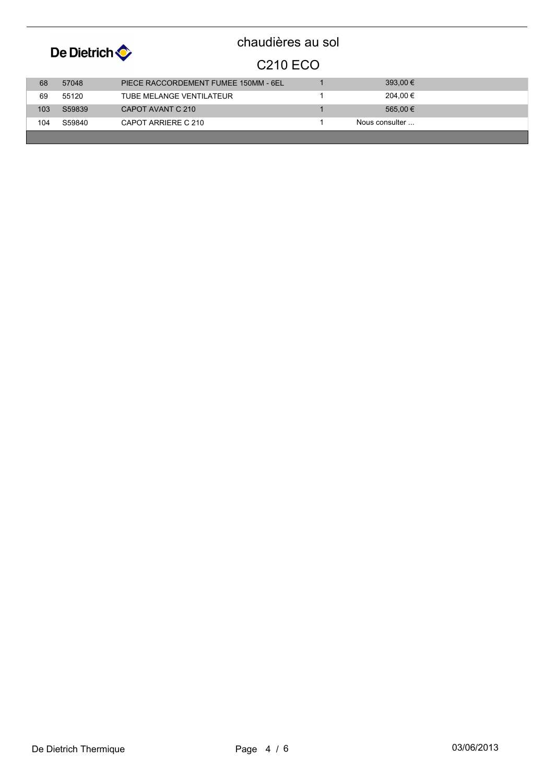

| 68  | 57048  | PIECE RACCORDEMENT FUMEE 150MM - 6EL | 393.00 €       |  |
|-----|--------|--------------------------------------|----------------|--|
| 69  | 55120  | TUBE MELANGE VENTILATEUR             | 204.00 €       |  |
| 103 | S59839 | CAPOT AVANT C 210                    | 565.00 €       |  |
| 104 | S59840 | CAPOT ARRIERE C 210                  | Nous consulter |  |
|     |        |                                      |                |  |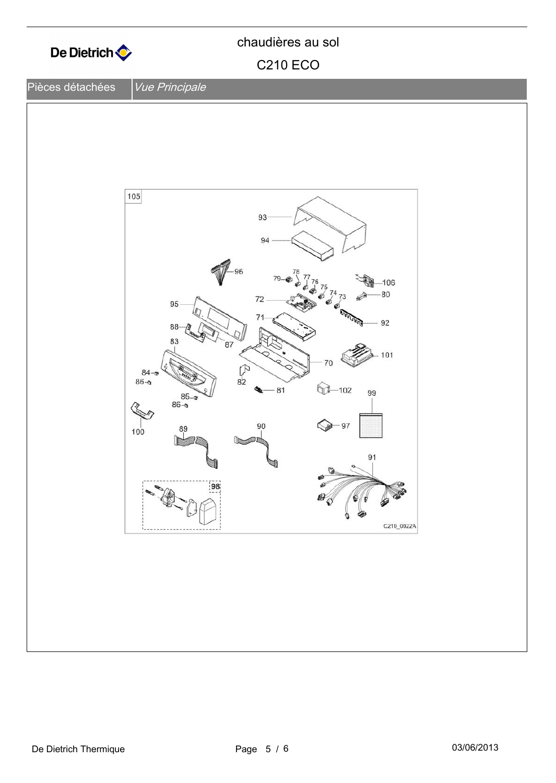